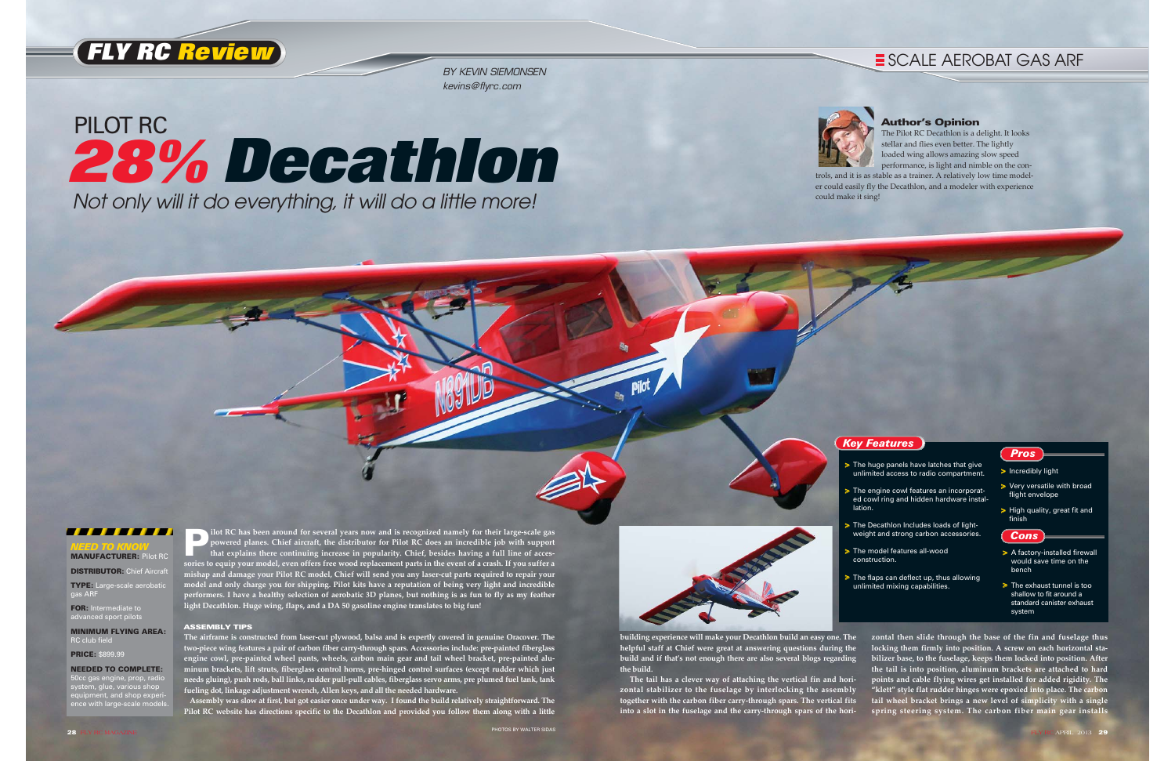and is recognized namely for their large-scale gas<br>powered planes. Chief aircraft, the distributor for Pilot RC does an incredible job with support<br>that explains there continuing increase in popularity. Chief, besides havi **sories to equip your model, even offers free wood replacement parts in the event of a crash. If you suffer a mishap and damage your Pilot RC model, Chief will send you any laser-cut parts required to repair your model and only charge you for shipping. Pilot kits have a reputation of being very light and incredible performers. I have a healthy selection of aerobatic 3D planes, but nothing is as fun to fly as my feather light Decathlon. Huge wing, flaps, and a DA 50 gasoline engine translates to big fun!** 

#### ASSEMBLY TIPS

- > The huge panels have latches that give unlimited access to radio compartment.
- > The engine cowl features an incorporated cowl ring and hidden hardware installation.
- > The Decathlon Includes loads of lightweight and strong carbon accessories.
- > The model features all-wood construction.
- > The flaps can deflect up, thus allowing unlimited mixing capabilities.

**The airframe is constructed from laser-cut plywood, balsa and is expertly covered in genuine Oracover. The two-piece wing features a pair of carbon fiber carry-through spars. Accessories include: pre-painted fiberglass engine cowl, pre-painted wheel pants, wheels, carbon main gear and tail wheel bracket, pre-painted aluminum brackets, lift struts, fiberglass control horns, pre-hinged control surfaces (except rudder which just needs gluing), push rods, ball links, rudder pull-pull cables, fiberglass servo arms, pre plumed fuel tank, tank fueling dot, linkage adjustment wrench, Allen keys, and all the needed hardware.**

- > A factory-installed firewall would save time on the bench
- > The exhaust tunnel is too shallow to fit around a standard canister exhaust system

**Assembly was slow at first, but got easier once under way. I found the build relatively straightforward. The Pilot RC website has directions specific to the Decathlon and provided you follow them along with a little**



- *Pros*
- > Incredibly light
- > Very versatile with broad flight envelope
- > High quality, great fit and finish

*Cons*



#### Author's Opinion

The Pilot RC Decathlon is a delight. It looks stellar and flies even better. The lightly loaded wing allows amazing slow speed performance, is light and nimble on the controls, and it is as stable as a trainer. A relatively low time model-

er could easily fly the Decathlon, and a modeler with experience



could make it sing!



# Not only will it do everything, it will do a little more! PILOT RC **28% Decathlon**

## **E SCALE AEROBAT GAS ARF**



BY KEVIN SIEMONSEN kevins@flyrc.com

#### *NEED TO KNOW* MANUFACTURER: Pilot RC

**DISTRIBUTOR: Chief Aircraft** 

TYPE: Large-scale aerobatic gas ARF

FOR: Intermediate to advanced sport pilots

MINIMUM FLYING AREA: RC club field

PRICE: \$899.99

#### NEEDED TO COMPLETE:

50cc gas engine, prop, radio system, glue, various shop equipment, and shop experience with large-scale models.

**building experience will make your Decathlon build an easy one. The helpful staff at Chief were great at answering questions during the build and if that's not enough there are also several blogs regarding the build.**

**The tail has a clever way of attaching the vertical fin and horizontal stabilizer to the fuselage by interlocking the assembly together with the carbon fiber carry-through spars. The vertical fits into a slot in the fuselage and the carry-through spars of the hori-** **zontal then slide through the base of the fin and fuselage thus locking them firmly into position. A screw on each horizontal sta bilizer base, to the fuselage, keeps them locked into position. After the tail is into position, aluminum brackets are attached to hard points and cable flying wires get installed for added rigidity. The "klett" style flat rudder hinges were epoxied into place. The carbon tail wheel bracket brings a new level of simplicity with a single spring steering system. The carbon fiber main gear installs**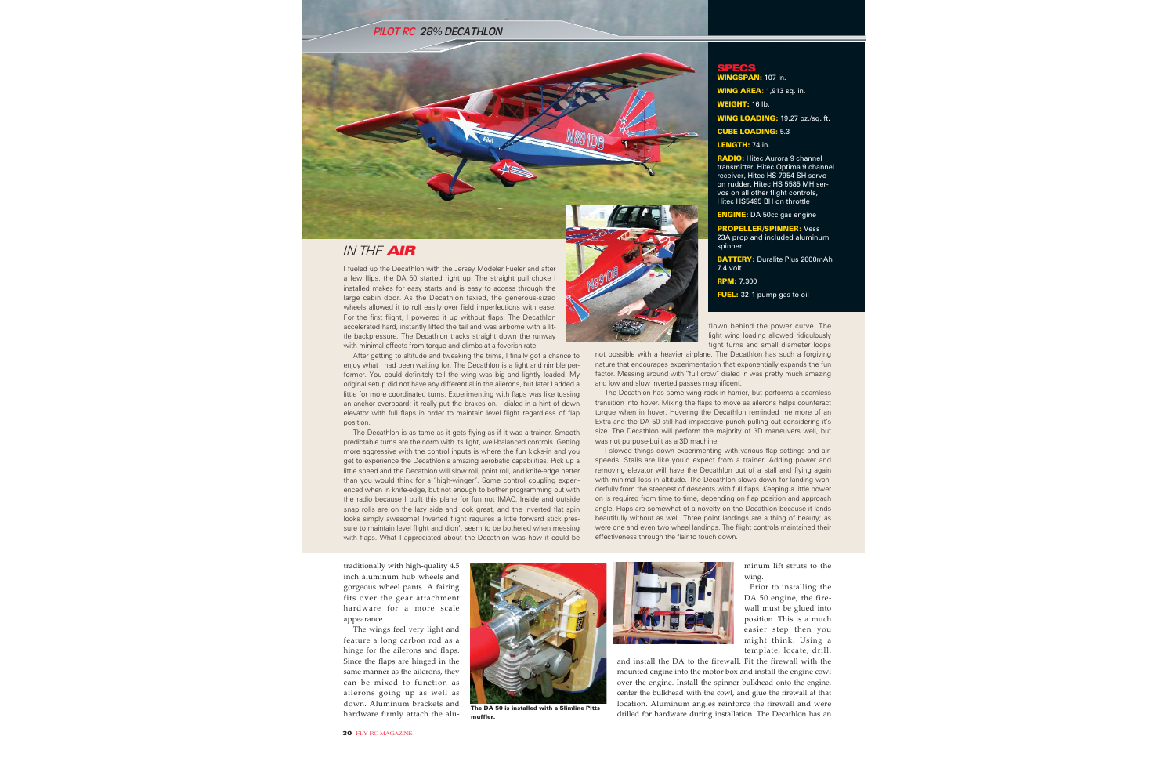I fueled up the Decathlon with the Jersey Modeler Fueler and after a few flips, the DA 50 started right up. The straight pull choke I installed makes for easy starts and is easy to access through the large cabin door. As the Decathlon taxied, the generous-sized wheels allowed it to roll easily over field imperfections with ease. For the first flight, I powered it up without flaps. The Decathlon accelerated hard, instantly lifted the tail and was airborne with a little backpressure. The Decathlon tracks straight down the runway with minimal effects from torque and climbs at a feverish rate.

After getting to altitude and tweaking the trims, I finally got a chance to enjoy what I had been waiting for. The Decathlon is a light and nimble performer. You could definitely tell the wing was big and lightly loaded. My original setup did not have any differential in the ailerons, but later I added a little for more coordinated turns. Experimenting with flaps was like tossing an anchor overboard; it really put the brakes on. I dialed-in a hint of down elevator with full flaps in order to maintain level flight regardless of flap position.

The Decathlon is as tame as it gets flying as if it was a trainer. Smooth predictable turns are the norm with its light, well-balanced controls. Getting more aggressive with the control inputs is where the fun kicks-in and you get to experience the Decathlon's amazing aerobatic capabilities. Pick up a little speed and the Decathlon will slow roll, point roll, and knife-edge better than you would think for a "high-winger". Some control coupling experienced when in knife-edge, but not enough to bother programming out with the radio because I built this plane for fun not IMAC. Inside and outside snap rolls are on the lazy side and look great, and the inverted flat spin looks simply awesome! Inverted flight requires a little forward stick pressure to maintain level flight and didn't seem to be bothered when messing with flaps. What I appreciated about the Decathlon was how it could be

flown behind the power curve. The light wing loading allowed ridiculously tight turns and small diameter loops

not possible with a heavier airplane. The Decathlon has such a forgiving nature that encourages experimentation that exponentially expands the fun factor. Messing around with "full crow" dialed in was pretty much amazing and low and slow inverted passes magnificent.

RADIO: Hitec Aurora 9 channel transmitter, Hitec Optima 9 channel receiver, Hitec HS 7954 SH servo on rudder, Hitec HS 5585 MH servos on all other flight controls, Hitec HS5495 BH on throttle

**ENGINE:** DA 50cc gas engine

OPELLER/SPINNER: Vess 23A prop and included aluminum spinner

BATTERY: Duralite Plus 2600mAh 7.4 volt

The Decathlon has some wing rock in harrier, but performs a seamless transition into hover. Mixing the flaps to move as ailerons helps counteract torque when in hover. Hovering the Decathlon reminded me more of an Extra and the DA 50 still had impressive punch pulling out considering it's size. The Decathlon will perform the majority of 3D maneuvers well, but was not purpose-built as a 3D machine.

I slowed things down experimenting with various flap settings and airspeeds. Stalls are like you'd expect from a trainer. Adding power and removing elevator will have the Decathlon out of a stall and flying again with minimal loss in altitude. The Decathlon slows down for landing wonderfully from the steepest of descents with full flaps. Keeping a little power on is required from time to time, depending on flap position and approach angle. Flaps are somewhat of a novelty on the Decathlon because it lands beautifully without as well. Three point landings are a thing of beauty; as were one and even two wheel landings. The flight controls maintained their effectiveness through the flair to touch down.



#### PILOT RC 28% DECATHLON

traditionally with high-quality 4.5 inch aluminum hub wheels and gorgeous wheel pants. A fairing fits over the gear attachment hardware for a more scale appearance.

The wings feel very light and feature a long carbon rod as a hinge for the ailerons and flaps. Since the flaps are hinged in the same manner as the ailerons, they can be mixed to function as ailerons going up as well as down. Aluminum brackets and hardware firmly attach the aluminum lift struts to the wing. Prior to installing the

DA 50 engine, the fire wall must be glued into position. This is a much easier step then you might think. Using a template, locate, drill,

and install the DA to the firewall. Fit the firewall with the mounted engine into the motor box and install the engine cowl over the engine. Install the spinner bulkhead onto the engine, center the bulkhead with the cowl, and glue the firewall at that location. Aluminum angles reinforce the firewall and were drilled for hardware during installation. The Decathlon has an

SPECS

**AN:** 107 in. **WING AREA: 1,913 sq. in.** 

**NEIGHT: 16 lb.** 

WING LOADING: 19.27 oz./sq. ft.

CUBE LOADING: 5.3

LENGTH: 74 in.

RPM: 7,300

FUEL: 32:1 pump gas to oil



The DA 50 is installed with a Slimline Pitts muffler.